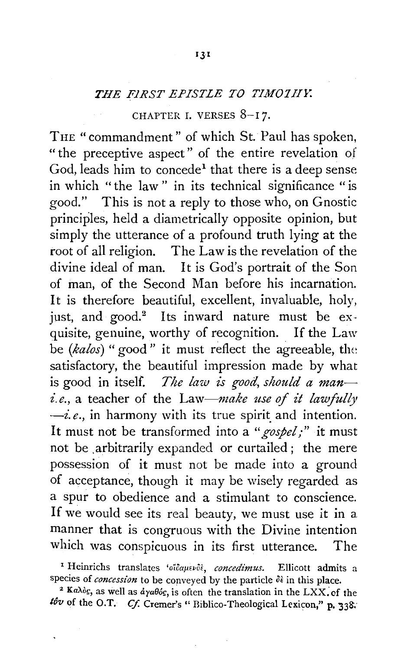## *THE FiRST EPISTLE TO TIM07H1:*

## CHAPTER I. VERSES 8-17.

THE "commandment" of which St. Paul has spoken, " the preceptive aspect" of the entire revelation of God, leads him to concede<sup>1</sup> that there is a deep sense in which "the law" in its technical significance "is good." This is not a reply to those who, on Gnostic principles, held a diametrically opposite opinion, but simply the utterance of a profound truth lying at the root of all religion. The Law is the revelation of the divine ideal of man. It is God's portrait of the Son of man, of the Second Man before his incarnation. It is therefore beautiful, excellent, invaluable, holy, just, and good.<sup>2</sup> Its inward nature must be  $ex$ quisite, genuine, worthy of recognition. If the Law be *(kalos)* "good " it must reflect the agreeable, the satisfactory, the beautiful impression made by what is good in itself. *The law is good, should a man i.e.*, a teacher of the Law-make use of it lawfully  $\frac{-i}{e}$ , in harmony with its true spirit and intention. It must not be transformed into a *"gospel;"* it must not be .arbitrarily expanded or curtailed; the mere possession of it must not be made into a ground of acceptance, though it may be wisely regarded as a spur to obedience and a stimulant to conscience. If we would see its real beauty, we must use it in a manner that is congruous with the Divine intention which was conspicuous in its first utterance. The

<sup>1</sup> Heinrichs translates 'oïdauevot, concedimus. Ellicott admits a species of *concession* to be conveyed by the particle  $\delta \hat{\epsilon}$  in this place.<br><sup>2</sup> Ka $\lambda \delta$ c, as well as  $d\gamma a\theta \delta$ c, is often the translation in the LXX. of the

*tôv* of the O.T. *Cf.* Cremer's "Biblico-Theological Lexicon," p. 338.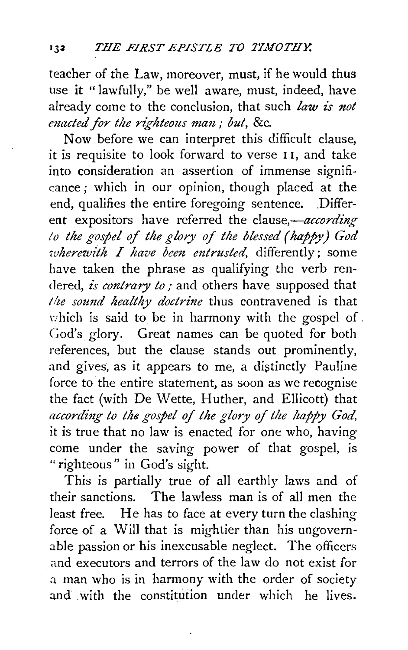teacher of the Law, moreover, must, if he would thus use it "lawfully," be well aware, must, indeed, have already come to the conclusion, that such *law is not cnacted for the righteous man; but, &c.* 

Now before we can interpret this difficult clause, it is requisite to look forward to verse 1 I, and take into consideration an assertion of immense significance ; which in our opinion, though placed at the end, qualifies the entire foregoing sentence. . Different expositors have referred the clause,-according *to the gospel of the glory of the blessed (happy) God wherewith I have been entrusted*, differently; some have taken the phrase as qualifying the verb rendered, *is contrary to;* and others have supposed that *lite sound healthy doctrine* thus contravened is that which is said to be in harmony with the gospel of. Cod's glory. Great names can be quoted for both references, but the clause stands out prominently, and gives, as it appears to me, a distinctly Pauline force to the entire statement, as soon as we recognise the fact (with De Wette, Huther, and Ellicott) that *according to the gospel of the glory of the happy God,*  it is true that no law is enacted for one who, having come under the saving power of that gospel, is "righteous" in God's sight.

This is partially true of all earthly laws and of their sanctions. The lawless man is of all men the least free. He has to face at every turn the clashing force of a Will that is mightier than his ungovernable passion or his inexcusable neglect. The officers and executors and terrors of the law do not exist for a man who is in harmony with the order of society and with the constitution under which he lives.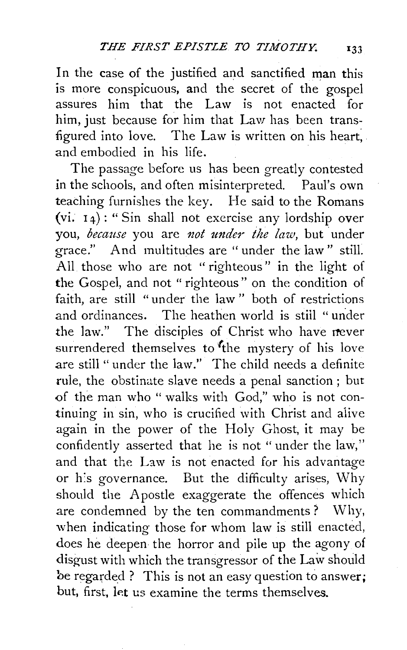In the case of the justified and sanctified man this is more conspicuous, and the secret of the gospel assures him that the Law is not enacted for him, just because for him that Law has been transfigured into love. The Law is written on his heart, and embodied in his life.

The passage before us has been greatly contested in the schools, and often misinterpreted. Paul's own teaching furnishes the key. He said to the Romans (vi.  $14$ ): "Sin shall not exercise any lordship over you, *because* you are *not under the law*, but under grace." And multitudes are "under the law" still. All those who are not " righteous" in the light of the Gospel, and not " righteous" on the condition of faith, are still "under the law " both of restrictions and ordinances. The heathen world is still " urider the law." The disciples of Christ who have never surrendered themselves to the mystery of his love are still " under the law." The child needs a definite rule, the obstinate slave needs a penal sanction; but of the man who " walks with God," who is not continuing in sin, who is crucified with Christ and aiive again in the power of the Holy Ghost, it may be confidently asserted that he is not "under the law," and that the Law is not enacted for his advantage or h:s governance. But the difficulty arises, Why should the Apostle exaggerate the offences which are condemned by the ten commandments ? Why, when indicating those for whom law is still enacted, does he deepen the horror and pile up the agony of disgust with which the transgressor of the Law should be regarded? This is not an easy question to answer; but, first, let us examine the terms themselves.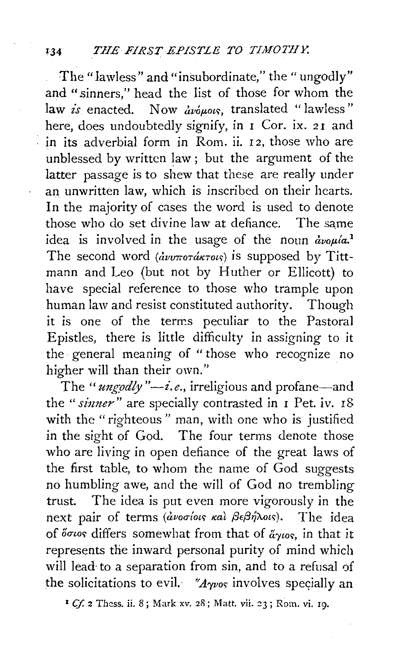The "lawless" and "insubordinate," the "ungodly" and "sinners," head the list of those for whom the law is enacted. Now avous, translated "lawless" here, does undoubtedly signify, in I Cor. ix. 21 and in its adverbial form in Rom. ii.  $12$ , those who are unblessed by written law ; but the argument of the latter passage is to shew that these are really under an unwritten law, which is inscribed on their hearts. In the majority of cases the word is used to denote those who do set divine law at defiance. The same idea is involved in the usage of the noun  $\partial_{\mu}a^{1}$ The second word  $\langle \frac{d}{dv} v \pi \frac{d}{dv} \pi \frac{d}{dv} \rangle$  is supposed by Tittmann and Leo (but not by Huther or Ellicott) to have special reference to those who trample upon human law and resist constituted authority. Though it is one of the terms peculiar to the Pastoral Epistles, there is little difficulty in assigning to it the general meaning of "those who recognize no higher will than their own."

The "*ungodly"*—*i.e.*, irreligious and profane—and the "sinner" are specially contrasted in 1 Pet. iv. 18 with the "righteous" man, with one who is justified in the sight of God. The four terms denote those who are living in open defiance of the great laws of the first table, to whom the name of God suggests no humbling awe, and the will of God no trembling trust. The idea is put even more vigorously in the next pair of terms (ανοσίοις και βεβήλοις). The idea of o $\sigma$ wos differs somewhat from that of  $\tilde{\alpha}$ ywos, in that it represents the inward personal purity of mind which will lead to a separation from sin, and to a refusal of the solicitations to evil. " $A_{\gamma\nu\sigma\sigma}$  involves specially an

<sup>1</sup> *Cf.* 2 Thess. ii. 8; Mark xv. 28; Matt. vii. 23; Rom. vi. 19.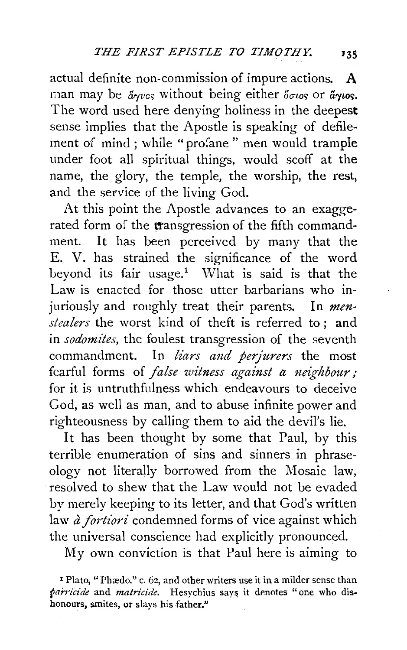actual definite non-commission of impure actions. **A**  man may be  $\mathring{a}_{\gamma\nu\sigma\varsigma}$  without being either  $\mathring{a}_{\sigma\iota\sigma\varsigma}$  or  $\mathring{a}_{\gamma\iota\sigma\varsigma}$ . The word used here denying holiness in the deepest sense implies that the Apostle is speaking of defilement of mind ; while "profane " men would trample under foot all spiritual things, would scoff at the name, the glory, the temple, the worship, the rest, and the service of the living God.

At this point the Apostle advances to an exaggerated form of the transgression of the fifth commandment. It has been perceived by many that the E. V. has strained the significance of the word beyond its fair usage.<sup>1</sup> What is said is that the Law is enacted for those utter barbarians who injuriously and roughly treat their parents. In *menstealers* the worst kind of theft is referred to ; and in *sodomites,* the foulest transgression of the seventh commandment. In *liars and perjurers* the most fearful forms of *false witness against a neighbour*; for it is untruthfulness which endeavours to deceive God, as well as man, and to abuse infinite power and righteousness by calling them to aid the devil's lie.

It has been thought by some that Paul, by this terrible enumeration of sins and sinners in phraseology not literally borrowed from the Mosaic law, resolved to shew that the Law would not be evaded by merely keeping to its letter, and that God's written law *a fortiori* condemned forms of vice against which the universal conscience had explicitly pronounced.

My own conviction is that Paul here is aiming to

<sup>&</sup>lt;sup>1</sup> Plato, "Phædo." c. 62, and other writers use it in a milder sense than *parricide* and *matricide*. Hesychius says it denotes "one who dishonours, smites, or slays his father."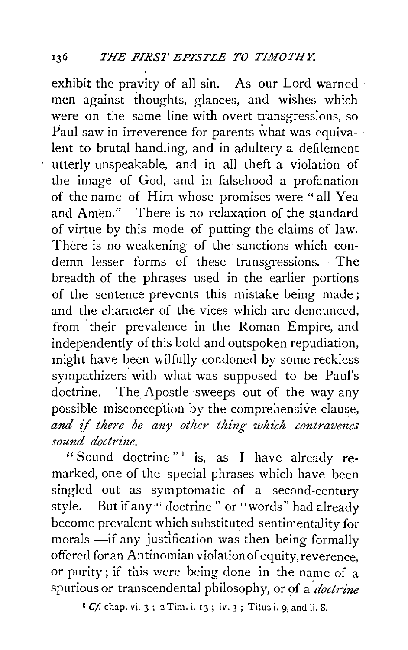## 136 *THE FIRST EPISTLE TO TIMOTHY.*

exhibit the pravity of all sin. As our Lord warned men against thoughts, glances, and wishes which were on the same line with overt transgressions, so Paul saw in irreverence for parents what was equivalent to brutal handling, and in adultery a defilement utterly unspeakable, and in all theft a violation of the image of God, and in falsehood a profanation of the name of Him whose promises were "all Yea and Amen." There is no relaxation of the standard of virtue by this mode of putting the claims of law. There is no weakening of the sanctions which condemn lesser forms of these transgressions. The breadth of the phrases used in the earlier portions of the sentence prevents this mistake being made ; and the character of the vices which are denounced, from their prevalence in the Roman Empire, and independently of this bold and outspoken repudiation, might have been wilfully condoned by some reckless sympathizers. with what was supposed to be Paul's doctrine. The Apostle sweeps out of the way any possible misconception by the comprehensive clause, and if there be any other thing which contravenes sound doctrine.

"Sound doctrine"<sup>1</sup> is, as I have already remarked, one of the special phrases which have been singled out as symptomatic of a second-century style. But if any " doctrine" or "words" had already become prevalent which substituted sentimentality for morals  $\text{---}$ if any justification was then being formally offered foran Antinomian violation of equity, reverence, or purity; if this were being done in the name of a spurious or transcendental philosophy, or of a *doctrine* 

<sup>1</sup>*Cf.* clup. *vi.* 3; 2 Tim. i. 13; iv. 3; Titu3 i. 9, and ii. 8.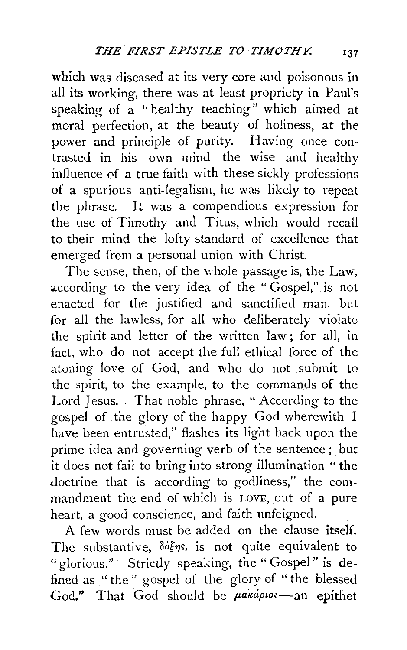which was diseased at its very core and poisonous in all its working, there was at least propriety in Paul's speaking of a "healthy teaching" which aimed at moral perfection, at the beauty of holiness, at the power and principle of purity. Having once contrasted in his own mind the wise and healthy influence of a true faith with these sickly professions of a spurious anti-legalism, he was likely to repeat the phrase. It was a compendious expression for the use of Timothy and Titus, which would recall to their mind the lofty standard of excellence that emerged from a personal union with Christ.

The sense, then, of the whole passage is, the Law, according to the very idea of the " Gospel," is not enacted for the justified and sanctified man, but for all the lawless, for all who deliberately violate the spirit and letter of the written law ; for all, in fact, who do not accept the full ethical force of the atoning love of God, and who do not submit to the spirit, to the example, to the commands of the Lord Jesus. That noble phrase, " According to the gospel of the glory of the happy God wherewith I have been entrusted," flashes its light back upon the prime idea and governing verb of the sentence; but it does not fail to bring into strong illumination " the doctrine that is according to godliness,". the commandment the end of which is LOVE, out of a pure heart, a good conscience, and faith unfeigned.

A few words must be added on the clause itself. The substantive,  $\delta d\xi\eta s$ , is not quite equivalent to "glorious." Strictly speaking, the "Gospel" is defined as " the " gospel of the glory of '' the blessed God." That God should be  $\mu$ akápios—an epithet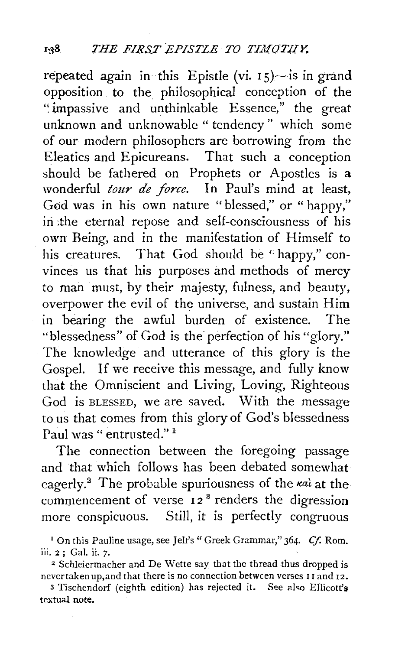repeated again in this Epistle (vi.  $15$ )-is in grand opposition to the philosophical conception of the ·~impassive and unthinkable Essence," the great unknown and unknowable " tendency " which some of our modern philosophers are borrowing from the Eleatics and Epicureans. That such a conception should be fathered on Prophets or Apostles is a wonderful *tour de force.* In Paul's mind at least, God was in his own nature "blessed," or " happy," in the eternal repose and self-consciousness of his own Being, and in the manifestation of Himself to his creatures. That God should be "happy," convinces us that his purposes and methods of mercy to man must, by their majesty, fulness, and beauty. overpower the evil of the universe, and sustain Him in bearing the awful burden of existence. The "blessedness" of God is the perfection of his "glory." The knowledge and utterance of this glory is the Gospel. If we receive this message, and fully know that the Omniscient and Living, Loving, Righteous God is BLESSED, we are saved. With the message to us that comes from this glory of God's blessedness Paul was " entrusted."<sup>1</sup>

The connection between the foregoing passage and that which follows has been debated somewhat cagerly.<sup>2</sup> The probable spuriousness of the  $\kappa a\hat{i}$  at the commencement of verse 12<sup>8</sup> renders the digression more conspicuous. Still, it is perfectly congruous

never taken up, and that there is no connection between verses I I and I2.

<sup>3</sup> Tischendorf (eighth edition) has rejected it. See also Ellicott's textual note.

<sup>1</sup> On this Pauline usage, see Jell's" Greek Grammar," 364. *Cf.* Rom. iii.  $2$ ; Gal. ii. 7.<br><sup>2</sup> Schleicrmacher and De Wette say that the thread thus dropped is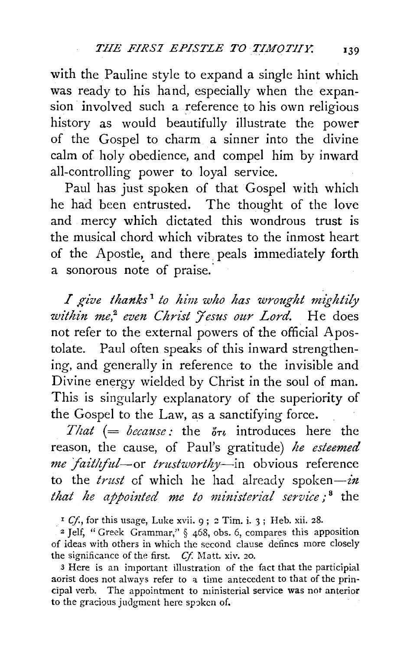with the Pauline style to expand a single hint which was ready to his hand, especially when the expansion involved such a reference to his own religious history as would beautifully illustrate the power of the Gospel to charm a sinner into the divine calm of holy obedience, and compel him by inward all-controlling power to loyal service.

Paul has just spoken of that Gospel with which he had been entrusted. The thought of the love and mercy which dictated this wondrous trust is the musical chord which vibrates to the inmost heart of the Apostle, and there peals immediately forth a sonorous note of praise.

*I give thanks* <sup>1</sup>*to him who has wrought mightily within me,<sup>2</sup> even Christ 'Yesus our Lord.* He does not refer to the external powers of the official Apostolate. Paul often speaks of this inward strengthening, and generally in reference to the invisible and Divine energy wielded by Christ in the soul of man. This is singularly explanatory of the superiority of the Gospel to the Law, as a sanctifying force.

*That* (= *because*: the  $\delta \tau_i$  introduces here the reason, the cause, of Paul's gratitude) *he esteemed me faitliful-or trustworthy-in* obvious reference to the *trust* of which he had already spoken-in *that he appointed me to ministerial service*;<sup>8</sup> the

<sup>1</sup> Cf., for this usage, Luke xvii. 9; 2 Tim. i. 3; Heb. xii. 28.

*z* Jelf, "Greek Grammar," § 468, obs. 6, compares this apposition of ideas with others in which the second clause defines more closely the significance of the first. *Cf.* Matt. xiv. 20.

3 Here is an important illustration of the fact that the participial aorist does not always refer to a time antecedent to that of the principal verb. The appointment to ministerial service was not anterior to the gracious judgment here spoken of.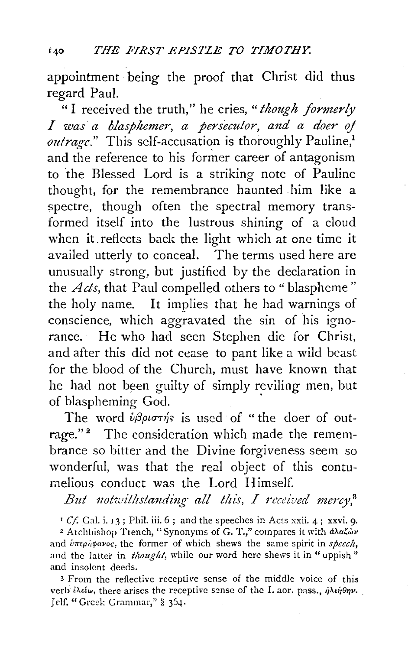appointment being the proof that Christ did thus regard Paul.

"I received the truth," he cries, *"though formerly I was· a blasphemer, a persecutor, and a doer oj*  outrage." This self-accusation is thoroughly Pauline.<sup>1</sup> and the reference to his former career of antagonism to the Blessed Lord is a striking note of Pauline thought, for the remembrance haunted him like a spectre, though often the spectral memory transformed itself into the lustrous shining of a cloud when it. reflects back the light which at one time it availed utterly to conceal. The terms used here are unusually strong, but justified by the declaration in the *Acts*, that Paul compelled others to "blaspheme" the holy name. It implies that he had warnings of conscience, which aggravated the sin of his ignorance.· He who had seen Stephen die for Christ, and after this did not cease to pant like a wild beast for the blood of the Church, must have known that he had not been guilty of simply reviling men, but of blaspheming God.

The word  $\hat{v}\beta\rho i\sigma\tau\hat{\eta}s$  is used of "the doer of outrage."<sup>2</sup> The consideration which made the remembrance so bitter and the Divine forgiveness seem so wonderful, was that the real object of this contumelious conduct was the Lord Himself.

*But 1zotwithstanding all this, I received mercy,8* 

' *Cf.* Gal. i. *13* ; Phil. iii. 6 ; and the speeches in Acts xxii. 4; xxvi. 9·

<sup>2</sup> Archbishop Trench, "Synonyms of G. T.," compares it with  $d\lambda a\zeta\omega\nu$ and  $\partial \pi \epsilon \rho \partial \phi \alpha \nu \partial \epsilon$ , the former of which shews the same spirit in *speech*, and the latter in *thought*, while our word here shews it in "uppish" and insolent deeds.

3 From the reflective receptive sense of the middle voice of this verb  $i\lambda$ είω, there arises the receptive sense of the I. aor. pass.,  $\dot{\eta}\lambda i\eta\theta\eta\nu$ . Jelf. "Greek: Grammar," § 354.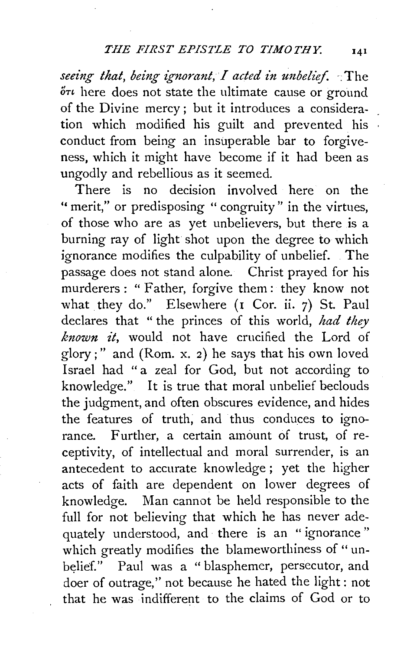## *THE FIRST EPISTLE TO TIMOTHY.* 141

*seeing that, being ignorant, 1 acted in unbelief.* :The  $\delta\tau\iota$  here does not state the ultimate cause or ground of the Divine mercy ; but it introduces a consideration which modified his guilt and prevented his conduct from being an insuperable bar to forgiveness, which it might have become if it had been as ungodly and rebellious as it seemed.

There is no decision involved here on the " merit," or predisposing " congruity" in the virtues, of those who are as yet unbelievers, but there is a burning ray of light shot upon the degree to which ignorance modifies the culpability of unbelief. . The passage does not stand alone. Christ prayed for his murderers : " Father, forgive them : they know not what they do." Elsewhere (1 Cor. ii. 7) St. Paul declares that " the princes of this world, *had they known it,* would not have crucified the Lord of glory;" and (Rom. x. 2) he says that his own loved Israel had "a zeal for God, but not according to knowledge." It is true that moral unbelief beclouds the judgment, and often obscures evidence, and hides the features of truth; and thus conduces to ignorance. Further, a certain amount of trust, of receptivity, of intellectual and moral surrender, is an antecedent to accurate knowledge; yet the higher acts of faith are dependent on lower degrees of knowledge. Man cannot be held responsible to the full for not believing that which he has never adequately understood, and there is an " ignorance " which greatly modifies the blameworthiness of "unbelief." Paul was a " blasphemer, persecutor, and doer of outrage,'' not because he hated the light : not that he was indifferent to the claims of God or to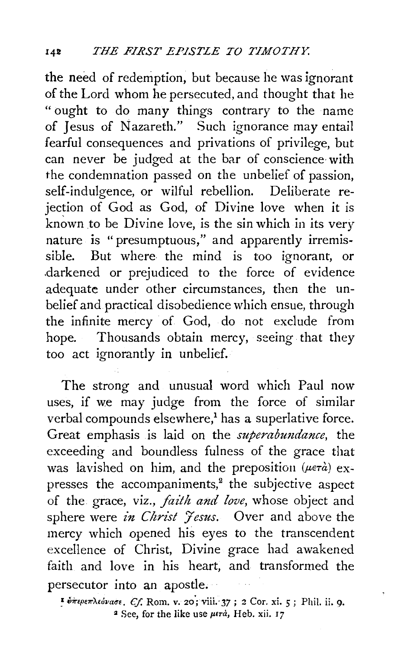the need of redemption, but because he was ignorant of the Lord whom he persecuted, and thought that he "ought to do many things contrary to the name of Jesus of Nazareth." Such ignorance may entail fearful consequences and privations of privilege, but can never be judged at the bar of conscience with the condemnation passed on the unbelief of passion, self-indulgence, or wilful rebellion. Deliberate rejection of God as God, of Divine love when it is known to be Divine love, is the sin which in its very nature is "presumptuous," and apparently irremissible. But where the mind is too ignorant, or .darkened or prejudiced to the force of evidence adequate under other circumstances, then the unbelief and practical disobedience which ensue, through the infinite mercy of God, do not exclude from hope. Thousands obtain mercy, seeing that they too act ignorantly in unbelief.

The strong and unusual word which Paul now uses, if we may judge from the force of similar verbal compounds elsewhere,<sup>1</sup> has a superlative force. Great emphasis is laid on the *superabundance,* the exceeding and boundless fulness of the grace that was lavished on him, and the preposition ( $\mu \in \mathcal{A}$ ) expresses the accompaniments,<sup>2</sup> the subjective aspect of the grace, viz., *faith and love,* whose object and sphere were *in Christ 'Jesus.* Over and above the mercy which opened his eyes to the transcendent excellence of Christ, Divine grace had awakened faith and love in his heart, and transformed the persecutor into an apostle;

 $\bullet$   $\bullet$ *περεπλεύνασε. Cf.* Rom. v. 20; viii. 37; 2 Cor. xi. 5; Phil. ii. 9. <sup>2</sup> See, for the like use  $\mu$ ra, Heb. xii. 17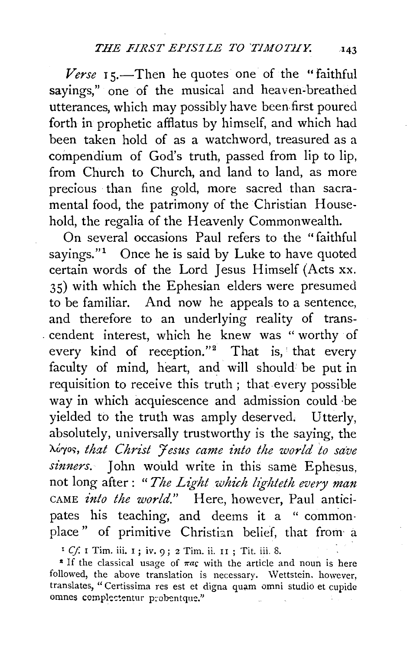Verse 15.—Then he quotes one of the "faithful sayings," one of the musical and heaven-breathed utterances, which may possibly have been. first poured forth in prophetic afflatus by himself, and which had been taken hold of as a watchword, treasured as a compendium of God's truth, passed from lip to lip, from Church to Church, and land to land, as more precious than fine gold, more sacred than sacramental food, the patrimony of the Christian Household, the regalia of the Heavenly Commonwealth.

On several occasions Paul refers to the "faithful sayings." $1$  Once he is said by Luke to have quoted certain words of the Lord Jesus Himself (Acts xx. 35) with which the Ephesian elders were presumed to be familiar. And now he appeals to a sentence, and therefore to an underlying reality of trans- . cendent interest, which he knew was " worthy of every kind of reception."<sup>2</sup> That is, that every faculty of mind, heart, and will should be put in requisition to receive this truth; that every possible way in which acquiescence and admission could ·be yielded to the truth was amply deserved. Utterly, absolutely, universally trustworthy is the saying, the 'Ao"fo<;, *that Christ Jesus came into the world to save sinners.* John would write in this same Ephesus, not long after : *"The Light which lighteth every man*  CAME *into the world."* Here, however, Paul anticipates his teaching, and deems it a " commonplace" of primitive Christian belief, that from a

<sup>1</sup> Cf. I Tim. iii. 1; iv. 9; 2 Tim. ii. 11; Tit. iii. 8.

<sup>2</sup> If the classical usage of  $\pi a$ c with the article and noun is here followed, the above translation is necessary. Wettstein. however, translates, "Certissima res est et digna quam omni studio et cupide omnes complectentur probentque."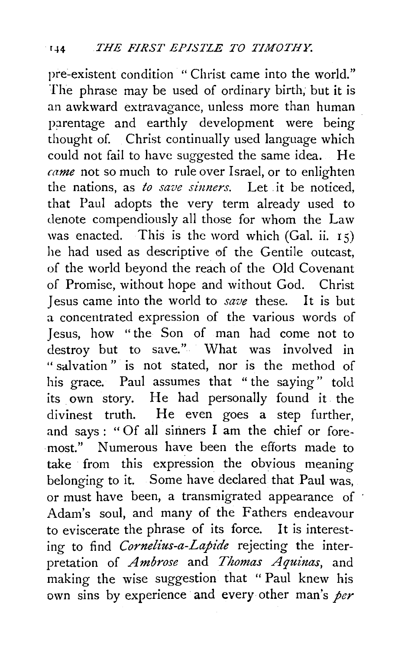pre-existent condition "Christ came into the world." The phrase may be used of ordinary birth, but it is an awkward extravagance, unless more than human parentage and earthly development were being thought of. Christ continually used language which could not fail to have suggested the same idea. He *came* not so much to rule over Israel, or to enlighten the nations, as *to save sinners.* Let it be noticed, that Paul adopts the very term already used to denote compendiously all those for whom the Law was enacted. This is the word which (Gal. ii.  $15$ ) he had used as descriptive of the Gentile outcast, of the world beyond the reach of the Old Covenant of Promise, without hope and without God. Christ Jesus came into the world to *save* these. It is but a concentrated expression of the various words of Jesus, how " the Son of man had come not to destroy but to save." What was involved in " salvation" is not stated, nor is the method of his grace. Paul assumes that "the saying" told its own story. He had personally found it the divinest truth. He even goes a step further, and says : "Of all sinners I am the chief or foremost." Numerous have been the efforts made to take from this expression the obvious meaning belonging to it. Some have declared that Paul was, or must have been, a transmigrated appearance of Adam's soul, and many of the Fathers endeavour to eviscerate the phrase of its force. It is interesting to find *Cornelius-a-Lapide* rejecting the interpretation of *A mbrose* and *Thomas A quinas,* and making the wise suggestion that " Paul knew his own sins by experience and every other man's *per*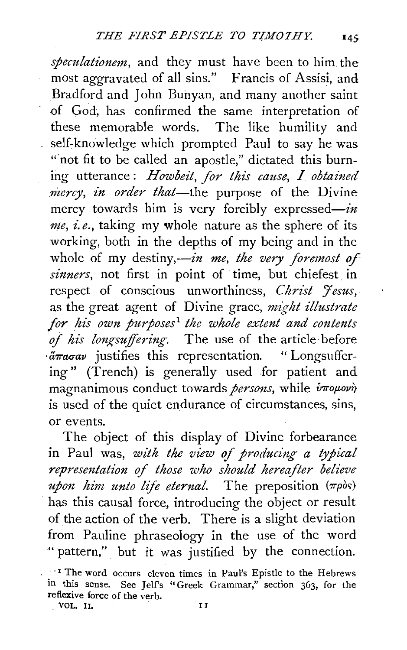*speculationem,* and they must have been to him the most aggravated of all sins." Francis of Assisi, and Bradford and John Buhyan, and many another saint of God, has confirmed the same interpretation of these memorable words. The like humility and self-knowledge which prompted Paul to say he was "not fit to be called an apostle," dictated this burning utterance : *Howbeit, for this cause, I obtained mercy, in order that-the* purpose of the Divine mercy towards him is very forcibly expressed-in *me, i.e.,* taking my whole nature as the sphere of its working, both in the depths of my being and in the whole of my destiny,—in me, the very foremost of *sinners,* not first in point of time, but chiefest in respect of conscious unworthiness, *Christ 'Jesus,*  as the great agent of Divine grace, *might illustrate for his own purposes*1 *the whole extent and contents*  of his longsuffering. The use of the article before *·* $a\pi a\sigma a\nu$  justifies this representation. "Longsuffering" (Trench) is generally used for patient and magnanimous conduct towards *persons*, while  $\hat{v}$ *rouovi* is used of the quiet endurance of circumstances, sins, or events.

The object of this display of Divine forbearance in Paul was, *with the view of producing a typical representation of those who should hereafter believe upon him unto life eternal*. The preposition ( $\pi \rho \delta s$ ) has this causal force, introducing the object or result of the action of the verb. There is a slight deviation from Pauline phraseology in the use of the word " pattern," but it was justified by the connection.

<sup>·</sup> <sup>1</sup>The word occurs eleven times in Paul's Epistle to the Hebrews in this sense. See Jelf's "Greek Grammar," section 363, for the reflexive force of the verb. VOL. II. FILM